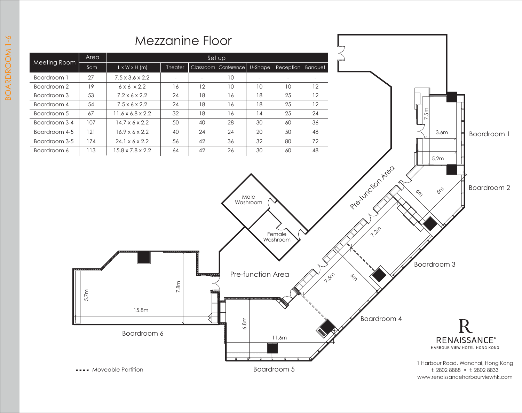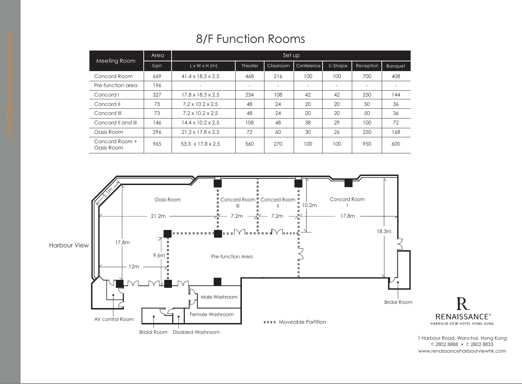## 8/F Function Rooms

|                              | Area | Set up                        |                |                          |            |         |                          |                          |
|------------------------------|------|-------------------------------|----------------|--------------------------|------------|---------|--------------------------|--------------------------|
| Meeting Room                 | Sqm  | $L \times W \times H$ (m)     | <b>Theater</b> | Classroom                | Conference | U-Shape | Reception                | <b>Banquet</b>           |
| Concord Room                 | 669  | $41.4 \times 18.3 \times 2.5$ | 468            | 216                      | 100        | 100     | 700                      | 408                      |
| Pre-function area            | 196  | ۰                             |                | $\overline{\phantom{0}}$ | ۰          |         | $\overline{\phantom{a}}$ | $\overline{\phantom{a}}$ |
| Concord I                    | 327  | $17.8 \times 18.3 \times 2.5$ | 234            | 108                      | 42         | 42      | 250                      | 144                      |
| Concord II                   | 73   | $7.2 \times 10.2 \times 2.5$  | 48             | 24                       | 20         | 20      | 50                       | 36                       |
| Concord III                  | 73   | $7.2 \times 10.2 \times 2.5$  | 48             | 24                       | 20         | 20      | 50                       | 36                       |
| Concord II and III           | 146  | $14.4 \times 10.2 \times 2.5$ | 108            | 48                       | 38         | 29      | 100                      | 72                       |
| Oasis Room                   | 296  | $21.2 \times 17.8 \times 2.5$ | 72             | 60                       | 30         | 26      | 250                      | 168                      |
| Concord Room +<br>Oasis Room | 965  | $53.3 \times 17.8 \times 2.5$ | 560            | 270                      | 100        | 100     | 950                      | 600                      |



1 Harbour Road, Wanchai, Hong Kong t: 2802 8888 • f: 2802 8833 www.renaissanceharbourviewhk.com